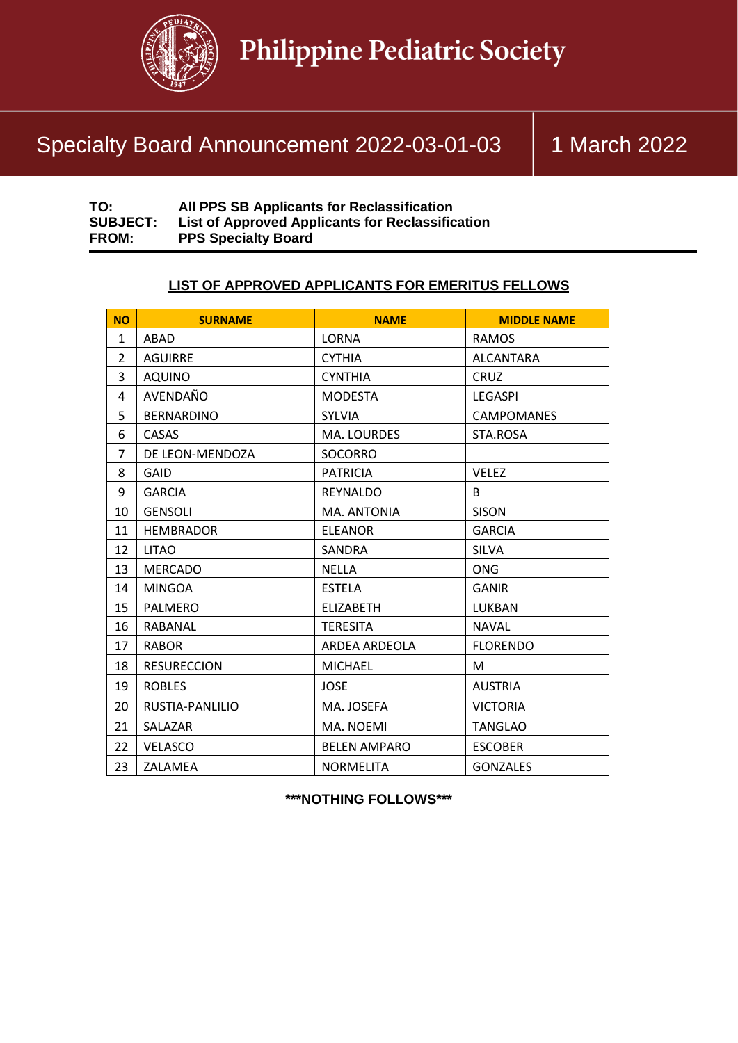

# Specialty Board Announcement 2022-03-01-03 | 1 March 2022

| TO:             | All PPS SB Applicants for Reclassification       |
|-----------------|--------------------------------------------------|
| <b>SUBJECT:</b> | List of Approved Applicants for Reclassification |
| <b>FROM:</b>    | <b>PPS Specialty Board</b>                       |

## **LIST OF APPROVED APPLICANTS FOR EMERITUS FELLOWS**

| <b>NO</b>      | <b>SURNAME</b>     | <b>NAME</b>         | <b>MIDDLE NAME</b> |
|----------------|--------------------|---------------------|--------------------|
| $\mathbf{1}$   | ABAD               | <b>LORNA</b>        | <b>RAMOS</b>       |
| $\overline{2}$ | <b>AGUIRRE</b>     | <b>CYTHIA</b>       | <b>ALCANTARA</b>   |
| 3              | <b>AQUINO</b>      | <b>CYNTHIA</b>      | <b>CRUZ</b>        |
| 4              | AVENDAÑO           | <b>MODESTA</b>      | <b>LEGASPI</b>     |
| 5              | <b>BERNARDINO</b>  | <b>SYLVIA</b>       | <b>CAMPOMANES</b>  |
| 6              | <b>CASAS</b>       | MA. LOURDES         | STA.ROSA           |
| $\overline{7}$ | DE LEON-MENDOZA    | SOCORRO             |                    |
| 8              | GAID               | <b>PATRICIA</b>     | <b>VELEZ</b>       |
| 9              | <b>GARCIA</b>      | <b>REYNALDO</b>     | B                  |
| 10             | <b>GENSOLI</b>     | MA. ANTONIA         | <b>SISON</b>       |
| 11             | <b>HEMBRADOR</b>   | <b>ELEANOR</b>      | <b>GARCIA</b>      |
| 12             | <b>LITAO</b>       | <b>SANDRA</b>       | <b>SILVA</b>       |
| 13             | <b>MERCADO</b>     | <b>NELLA</b>        | <b>ONG</b>         |
| 14             | <b>MINGOA</b>      | <b>ESTELA</b>       | <b>GANIR</b>       |
| 15             | PALMERO            | <b>ELIZABETH</b>    | LUKBAN             |
| 16             | RABANAL            | <b>TERESITA</b>     | <b>NAVAL</b>       |
| 17             | <b>RABOR</b>       | ARDEA ARDEOLA       | <b>FLORENDO</b>    |
| 18             | <b>RESURECCION</b> | <b>MICHAEL</b>      | M                  |
| 19             | <b>ROBLES</b>      | <b>JOSE</b>         | <b>AUSTRIA</b>     |
| 20             | RUSTIA-PANLILIO    | MA. JOSEFA          | <b>VICTORIA</b>    |
| 21             | SALAZAR            | MA. NOEMI           | <b>TANGLAO</b>     |
| 22             | <b>VELASCO</b>     | <b>BELEN AMPARO</b> | <b>ESCOBER</b>     |
| 23             | ZALAMEA            | <b>NORMELITA</b>    | <b>GONZALES</b>    |

#### **\*\*\*NOTHING FOLLOWS\*\*\***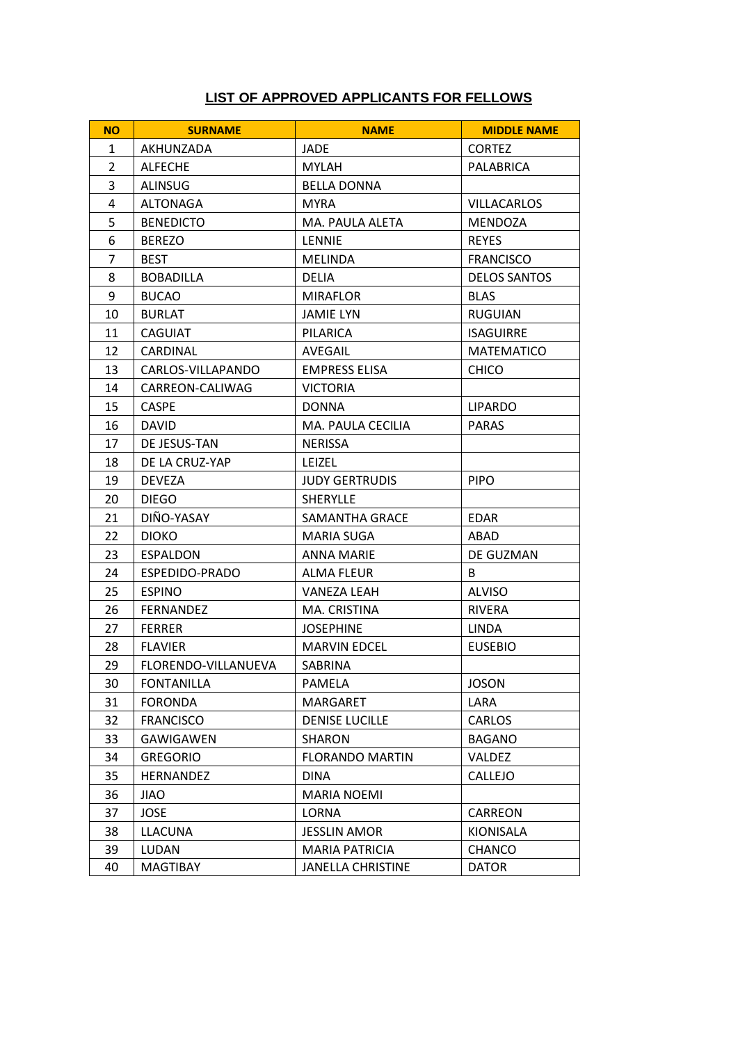### **LIST OF APPROVED APPLICANTS FOR FELLOWS**

| <b>NO</b>      | <b>SURNAME</b>      | <b>NAME</b>              | <b>MIDDLE NAME</b>  |
|----------------|---------------------|--------------------------|---------------------|
| 1              | AKHUNZADA           | JADE                     | <b>CORTEZ</b>       |
| $\overline{2}$ | <b>ALFECHE</b>      | <b>MYLAH</b>             | PALABRICA           |
| 3              | <b>ALINSUG</b>      | <b>BELLA DONNA</b>       |                     |
| 4              | ALTONAGA            | <b>MYRA</b>              | <b>VILLACARLOS</b>  |
| 5              | <b>BENEDICTO</b>    | MA. PAULA ALETA          | MENDOZA             |
| 6              | <b>BEREZO</b>       | <b>LENNIE</b>            | <b>REYES</b>        |
| 7              | <b>BEST</b>         | <b>MELINDA</b>           | <b>FRANCISCO</b>    |
| 8              | <b>BOBADILLA</b>    | <b>DELIA</b>             | <b>DELOS SANTOS</b> |
| 9              | <b>BUCAO</b>        | <b>MIRAFLOR</b>          | <b>BLAS</b>         |
| 10             | <b>BURLAT</b>       | <b>JAMIE LYN</b>         | <b>RUGUIAN</b>      |
| 11             | <b>CAGUIAT</b>      | <b>PILARICA</b>          | <b>ISAGUIRRE</b>    |
| 12             | CARDINAL            | AVEGAIL                  | <b>MATEMATICO</b>   |
| 13             | CARLOS-VILLAPANDO   | <b>EMPRESS ELISA</b>     | <b>CHICO</b>        |
| 14             | CARREON-CALIWAG     | <b>VICTORIA</b>          |                     |
| 15             | <b>CASPE</b>        | <b>DONNA</b>             | <b>LIPARDO</b>      |
| 16             | <b>DAVID</b>        | MA. PAULA CECILIA        | <b>PARAS</b>        |
| 17             | DE JESUS-TAN        | <b>NERISSA</b>           |                     |
| 18             | DE LA CRUZ-YAP      | <b>LEIZEL</b>            |                     |
| 19             | <b>DEVEZA</b>       | <b>JUDY GERTRUDIS</b>    | <b>PIPO</b>         |
| 20             | <b>DIEGO</b>        | SHERYLLE                 |                     |
| 21             | DIÑO-YASAY          | SAMANTHA GRACE           | <b>EDAR</b>         |
| 22             | <b>DIOKO</b>        | MARIA SUGA               | ABAD                |
| 23             | <b>ESPALDON</b>     | <b>ANNA MARIE</b>        | DE GUZMAN           |
| 24             | ESPEDIDO-PRADO      | <b>ALMA FLEUR</b>        | B                   |
| 25             | <b>ESPINO</b>       | <b>VANEZA LEAH</b>       | <b>ALVISO</b>       |
| 26             | <b>FERNANDEZ</b>    | MA. CRISTINA             | <b>RIVERA</b>       |
| 27             | <b>FERRER</b>       | <b>JOSEPHINE</b>         | LINDA               |
| 28             | <b>FLAVIER</b>      | <b>MARVIN EDCEL</b>      | <b>EUSEBIO</b>      |
| 29             | FLORENDO-VILLANUEVA | <b>SABRINA</b>           |                     |
| 30             | <b>FONTANILLA</b>   | PAMELA                   | <b>JOSON</b>        |
| 31             | <b>FORONDA</b>      | MARGARET                 | LARA                |
| 32             | <b>FRANCISCO</b>    | <b>DENISE LUCILLE</b>    | CARLOS              |
| 33             | GAWIGAWEN           | <b>SHARON</b>            | <b>BAGANO</b>       |
| 34             | <b>GREGORIO</b>     | <b>FLORANDO MARTIN</b>   | <b>VALDEZ</b>       |
| 35             | <b>HERNANDEZ</b>    | <b>DINA</b>              | CALLEJO             |
| 36             | <b>JIAO</b>         | <b>MARIA NOEMI</b>       |                     |
| 37             | <b>JOSE</b>         | LORNA                    | CARREON             |
| 38             | <b>LLACUNA</b>      | <b>JESSLIN AMOR</b>      | KIONISALA           |
| 39             | LUDAN               | <b>MARIA PATRICIA</b>    | <b>CHANCO</b>       |
| 40             | MAGTIBAY            | <b>JANELLA CHRISTINE</b> | <b>DATOR</b>        |